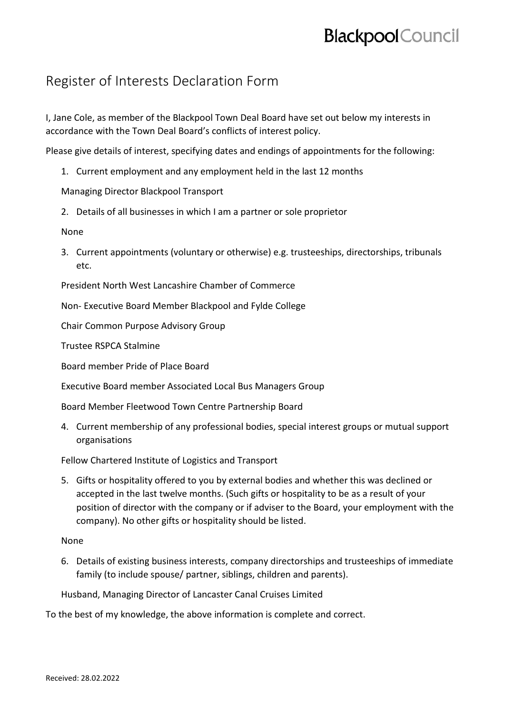## **Blackpool** Council

## Register of Interests Declaration Form

I, Jane Cole, as member of the Blackpool Town Deal Board have set out below my interests in accordance with the Town Deal Board's conflicts of interest policy.

Please give details of interest, specifying dates and endings of appointments for the following:

1. Current employment and any employment held in the last 12 months

Managing Director Blackpool Transport

2. Details of all businesses in which I am a partner or sole proprietor

None

3. Current appointments (voluntary or otherwise) e.g. trusteeships, directorships, tribunals etc.

President North West Lancashire Chamber of Commerce

Non- Executive Board Member Blackpool and Fylde College

Chair Common Purpose Advisory Group

Trustee RSPCA Stalmine

Board member Pride of Place Board

Executive Board member Associated Local Bus Managers Group

Board Member Fleetwood Town Centre Partnership Board

4. Current membership of any professional bodies, special interest groups or mutual support organisations

Fellow Chartered Institute of Logistics and Transport

5. Gifts or hospitality offered to you by external bodies and whether this was declined or accepted in the last twelve months. (Such gifts or hospitality to be as a result of your position of director with the company or if adviser to the Board, your employment with the company). No other gifts or hospitality should be listed.

## None

6. Details of existing business interests, company directorships and trusteeships of immediate family (to include spouse/ partner, siblings, children and parents).

Husband, Managing Director of Lancaster Canal Cruises Limited

To the best of my knowledge, the above information is complete and correct.